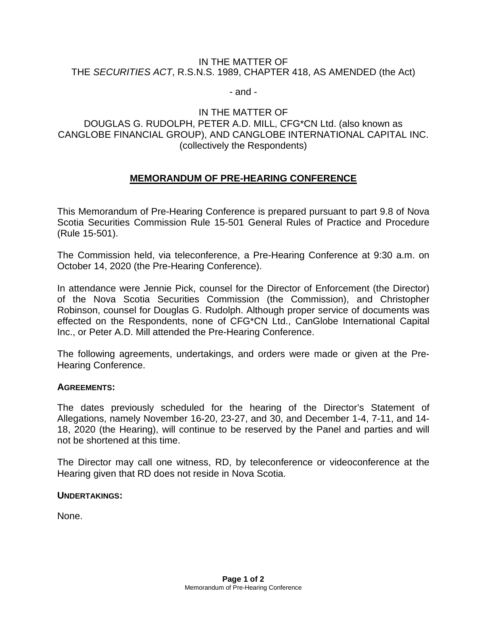#### IN THE MATTER OF THE *SECURITIES ACT*, R.S.N.S. 1989, CHAPTER 418, AS AMENDED (the Act)

- and -

## IN THE MATTER OF

## DOUGLAS G. RUDOLPH, PETER A.D. MILL, CFG\*CN Ltd. (also known as CANGLOBE FINANCIAL GROUP), AND CANGLOBE INTERNATIONAL CAPITAL INC. (collectively the Respondents)

# **MEMORANDUM OF PRE-HEARING CONFERENCE**

This Memorandum of Pre-Hearing Conference is prepared pursuant to part 9.8 of Nova Scotia Securities Commission Rule 15-501 General Rules of Practice and Procedure (Rule 15-501).

The Commission held, via teleconference, a Pre-Hearing Conference at 9:30 a.m. on October 14, 2020 (the Pre-Hearing Conference).

In attendance were Jennie Pick, counsel for the Director of Enforcement (the Director) of the Nova Scotia Securities Commission (the Commission), and Christopher Robinson, counsel for Douglas G. Rudolph. Although proper service of documents was effected on the Respondents, none of CFG\*CN Ltd., CanGlobe International Capital Inc., or Peter A.D. Mill attended the Pre-Hearing Conference.

The following agreements, undertakings, and orders were made or given at the Pre-Hearing Conference.

### **AGREEMENTS:**

The dates previously scheduled for the hearing of the Director's Statement of Allegations, namely November 16-20, 23-27, and 30, and December 1-4, 7-11, and 14- 18, 2020 (the Hearing), will continue to be reserved by the Panel and parties and will not be shortened at this time.

The Director may call one witness, RD, by teleconference or videoconference at the Hearing given that RD does not reside in Nova Scotia.

#### **UNDERTAKINGS:**

None.